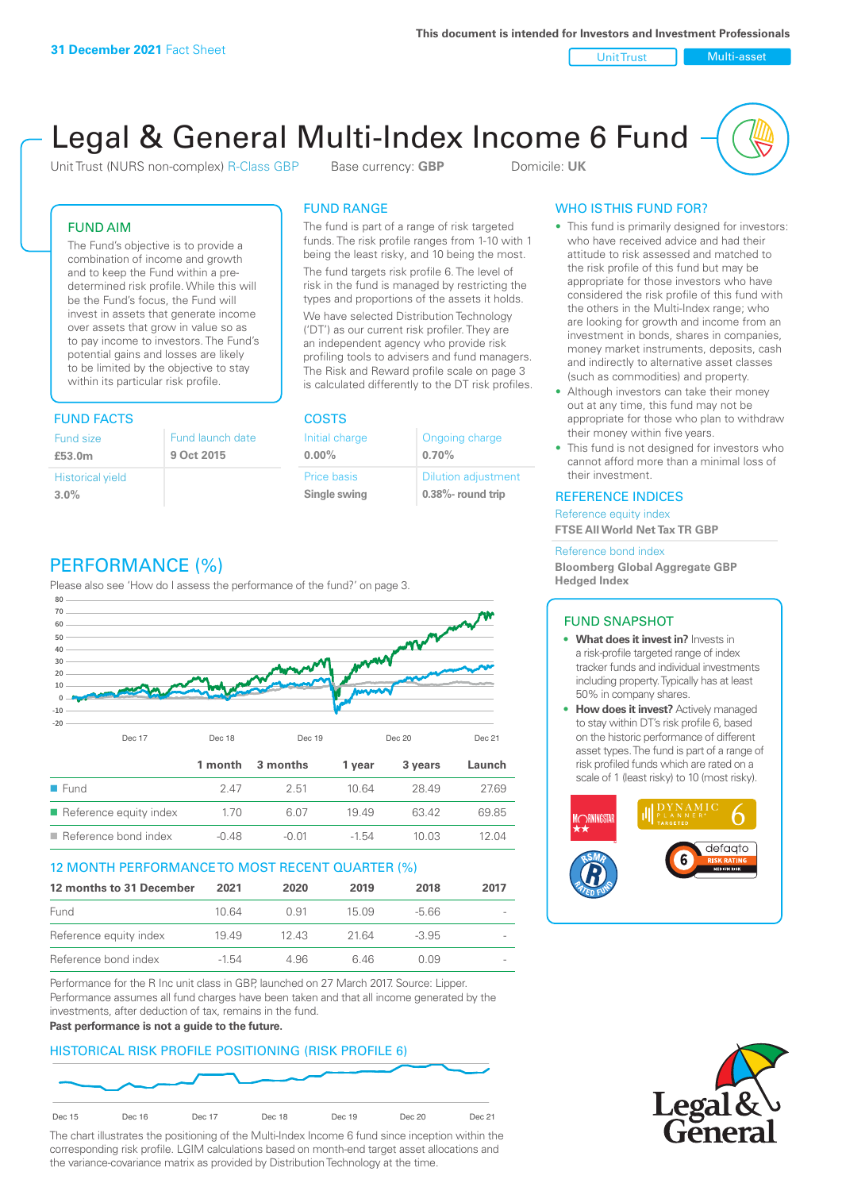Unit Trust Nulti-asset

# Legal & General Multi-Index Income 6 Fund

Unit Trust (NURS non-complex) R-Class GBP Base currency: **GBP** Domicile: UK

# FUND AIM

The Fund's objective is to provide a combination of income and growth and to keep the Fund within a predetermined risk profile. While this will be the Fund's focus, the Fund will invest in assets that generate income over assets that grow in value so as to pay income to investors. The Fund's potential gains and losses are likely to be limited by the objective to stay within its particular risk profile.

# FUND FACTS COSTS

| Fund size<br>£53.0m     | Fund launch date<br>9 Oct 2015 |
|-------------------------|--------------------------------|
| <b>Historical yield</b> |                                |
| 3.0%                    |                                |

# FUND RANGE

The fund is part of a range of risk targeted funds. The risk profile ranges from 1-10 with 1 being the least risky, and 10 being the most.

The fund targets risk profile 6. The level of risk in the fund is managed by restricting the types and proportions of the assets it holds. We have selected Distribution Technology ('DT') as our current risk profiler. They are an independent agency who provide risk profiling tools to advisers and fund managers. The Risk and Reward profile scale on page 3 is calculated differently to the DT risk profiles.

| Initial charge | Ongoing charge             |
|----------------|----------------------------|
| $0.00\%$       | 0.70%                      |
| Price basis    | <b>Dilution adjustment</b> |
| Single swing   | 0.38%- round trip          |

# WHO IS THIS FUND FOR?

- This fund is primarily designed for investors: who have received advice and had their attitude to risk assessed and matched to the risk profile of this fund but may be appropriate for those investors who have considered the risk profile of this fund with the others in the Multi-Index range; who are looking for growth and income from an investment in bonds, shares in companies, money market instruments, deposits, cash and indirectly to alternative asset classes (such as commodities) and property.
- Although investors can take their money out at any time, this fund may not be appropriate for those who plan to withdraw their money within five years.
- This fund is not designed for investors who cannot afford more than a minimal loss of their investment.

# REFERENCE INDICES

Reference equity index **FTSE All World Net Tax TR GBP**

#### Reference bond index

**Bloomberg Global Aggregate GBP Hedged Index**

# FUND SNAPSHOT

- **• What does it invest in?** Invests in a risk-profile targeted range of index tracker funds and individual investments including property. Typically has at least 50% in company shares.
- **• How does it invest?** Actively managed to stay within DT's risk profile 6, based on the historic performance of different asset types. The fund is part of a range of risk profiled funds which are rated on a scale of 1 (least risky) to 10 (most risky).





# PERFORMANCE (%)

Please also see 'How do I assess the performance of the fund?' on page 3.



# 12 MONTH PERFORMANCE TO MOST RECENT QUARTER (%)

| 12 months to 31 December | 2021    | 2020 | 2019  | 2018    | 2017   |
|--------------------------|---------|------|-------|---------|--------|
| Fund                     | 1064    | O 91 | 15.09 | -5.66   | $\sim$ |
| Reference equity index   | 1949    | 1243 | 21.64 | $-3.95$ | $\sim$ |
| Reference bond index     | $-1.54$ | 4.96 | 6.46  | O O.9   | $\sim$ |

Performance for the R Inc unit class in GBP, launched on 27 March 2017. Source: Lipper. Performance assumes all fund charges have been taken and that all income generated by the investments, after deduction of tax, remains in the fund.

#### **Past performance is not a guide to the future.**

# HISTORICAL RISK PROFILE POSITIONING (RISK PROFILE 6)



The chart illustrates the positioning of the Multi-Index Income 6 fund since inception within the corresponding risk profile. LGIM calculations based on month-end target asset allocations and the variance-covariance matrix as provided by Distribution Technology at the time.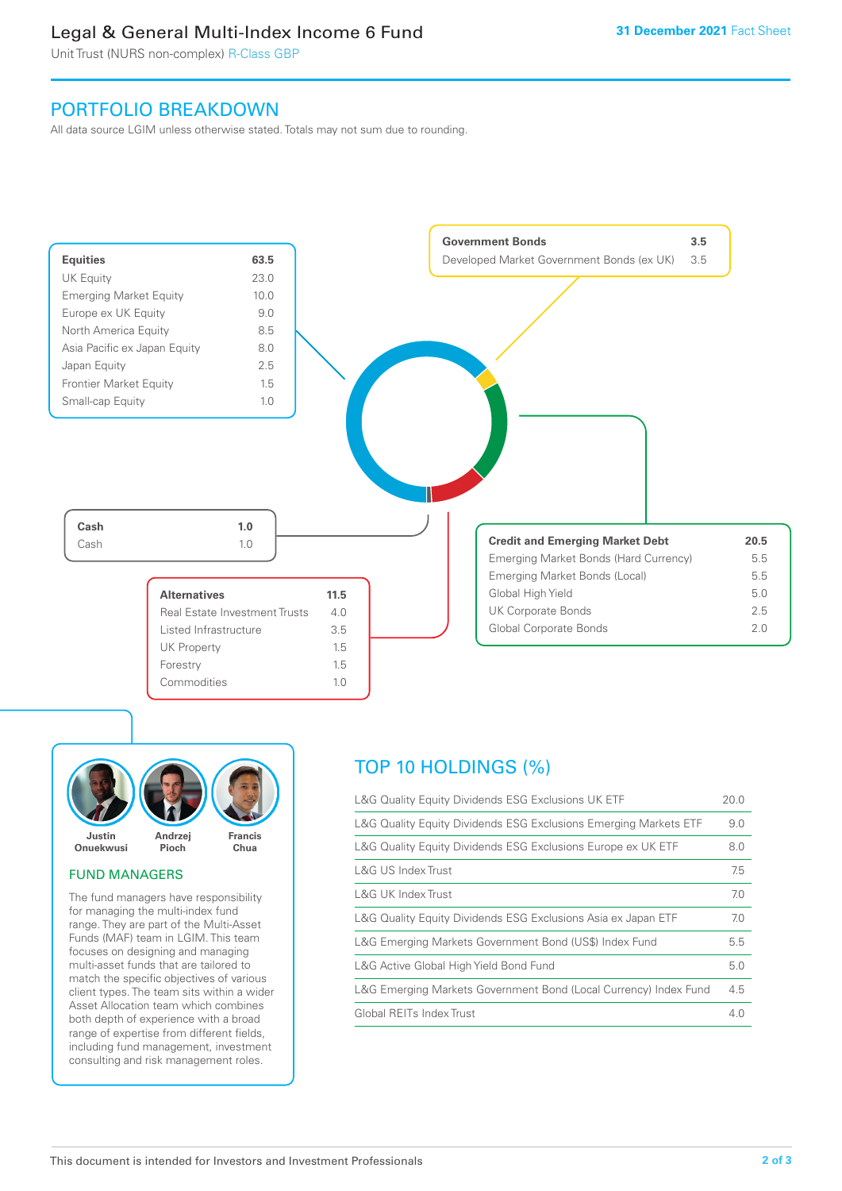# Legal & General Multi-Index Income 6 Fund

Unit Trust (NURS non-complex) R-Class GBP

# PORTFOLIO BREAKDOWN

All data source LGIM unless otherwise stated. Totals may not sum due to rounding.





# FUND MANAGERS

The fund managers have responsibility for managing the multi-index fund range. They are part of the Multi-Asset Funds (MAF) team in LGIM. This team focuses on designing and managing multi-asset funds that are tailored to match the specific objectives of various client types. The team sits within a wider Asset Allocation team which combines both depth of experience with a broad range of expertise from different fields, including fund management, investment consulting and risk management roles.

# TOP 10 HOLDINGS (%)

| L&G Quality Equity Dividends ESG Exclusions UK ETF               | 20.0 |
|------------------------------------------------------------------|------|
| L&G Quality Equity Dividends ESG Exclusions Emerging Markets ETF | 9.0  |
| L&G Quality Equity Dividends ESG Exclusions Europe ex UK ETF     | 8.0  |
| L&G US Index Trust                                               | 7.5  |
| L&G UK Index Trust                                               | 7.0  |
| L&G Quality Equity Dividends ESG Exclusions Asia ex Japan ETF    | 7.0  |
| L&G Emerging Markets Government Bond (US\$) Index Fund           | 5.5  |
| L&G Active Global High Yield Bond Fund                           | 5.0  |
| L&G Emerging Markets Government Bond (Local Currency) Index Fund | 4.5  |
| Global REITs Index Trust                                         | 4.0  |